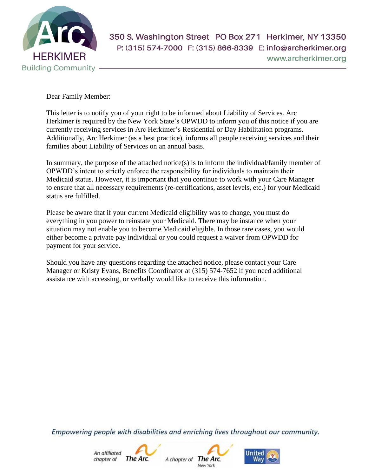

Dear Family Member:

This letter is to notify you of your right to be informed about Liability of Services. Arc Herkimer is required by the New York State's OPWDD to inform you of this notice if you are currently receiving services in Arc Herkimer's Residential or Day Habilitation programs. Additionally, Arc Herkimer (as a best practice), informs all people receiving services and their families about Liability of Services on an annual basis.

In summary, the purpose of the attached notice(s) is to inform the individual/family member of OPWDD's intent to strictly enforce the responsibility for individuals to maintain their Medicaid status. However, it is important that you continue to work with your Care Manager to ensure that all necessary requirements (re-certifications, asset levels, etc.) for your Medicaid status are fulfilled.

Please be aware that if your current Medicaid eligibility was to change, you must do everything in you power to reinstate your Medicaid. There may be instance when your situation may not enable you to become Medicaid eligible. In those rare cases, you would either become a private pay individual or you could request a waiver from OPWDD for payment for your service.

Should you have any questions regarding the attached notice, please contact your Care Manager or Kristy Evans, Benefits Coordinator at (315) 574-7652 if you need additional assistance with accessing, or verbally would like to receive this information.

Empowering people with disabilities and enriching lives throughout our community.





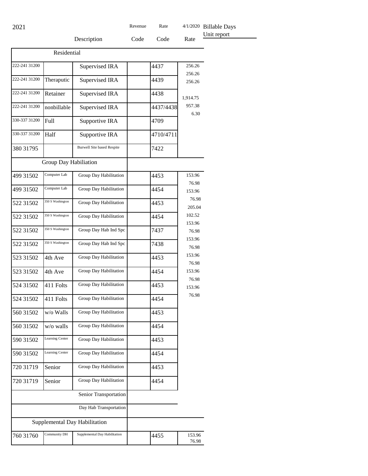Billable Days

|               |                       | Description                       | Code | Code      | Rate             | Unit report |
|---------------|-----------------------|-----------------------------------|------|-----------|------------------|-------------|
|               |                       |                                   |      |           |                  |             |
| Residential   |                       |                                   |      |           |                  |             |
| 222-241 31200 |                       | Supervised IRA                    |      | 4437      | 256.26<br>256.26 |             |
| 222-241 31200 | Theraputic            | Supervised IRA                    |      | 4439      | 256.26           |             |
| 222-241 31200 | Retainer              | Supervised IRA                    |      | 4438      | 1,914.75         |             |
| 222-241 31200 | nonbillable           | Supervised IRA                    |      | 4437/4438 | 957.38<br>6.30   |             |
| 330-337 31200 | Full                  | Supportive IRA                    |      | 4709      |                  |             |
| 330-337 31200 | Half                  | Supportive IRA                    |      | 4710/4711 |                  |             |
| 380 31795     |                       | <b>Burwell Site based Respite</b> |      | 7422      |                  |             |
|               | Group Day Habiliation |                                   |      |           |                  |             |
| 499 31502     | Computer Lab          | Group Day Habilitation            |      | 4453      | 153.96<br>76.98  |             |
| 499 31502     | Computer Lab          | Group Day Habilitation            |      | 4454      | 153.96           |             |
| 522 31502     | 350 S Washington      | Group Day Habilitation            |      | 4453      | 76.98<br>205.04  |             |
| 522 31502     | 350 S Washington      | Group Day Habilitation            |      | 4454      | 102.52<br>153.96 |             |
| 522 31502     | 350 S Washington      | Group Day Hab Ind Spc             |      | 7437      | 76.98            |             |
| 522 31502     | 350 S Washington      | Group Day Hab Ind Spc             |      | 7438      | 153.96<br>76.98  |             |
| 523 31502     | 4th Ave               | Group Day Habilitation            |      | 4453      | 153.96<br>76.98  |             |
| 523 31502     | 4th Ave               | Group Day Habilitation            |      | 4454      | 153.96           |             |
| 524 31502     | 411 Folts             | Group Day Habilitation            |      | 4453      | 76.98<br>153.96  |             |
| 524 31502     | 411 Folts             | Group Day Habilitation            |      | 4454      | 76.98            |             |
| 560 31502     | w/o Walls             | Group Day Habilitation            |      | 4453      |                  |             |
| 560 31502     | w/o walls             | Group Day Habilitation            |      | 4454      |                  |             |
| 590 31502     | Learning Center       | Group Day Habilitation            |      | 4453      |                  |             |
| 590 31502     | Learning Center       | Group Day Habilitation            |      | 4454      |                  |             |
| 720 31719     | Senior                | Group Day Habilitation            |      | 4453      |                  |             |
| 720 31719     | Senior                | Group Day Habilitation            |      | 4454      |                  |             |
|               |                       | Senior Transportation             |      |           |                  |             |
|               |                       | Day Hab Transportation            |      |           |                  |             |
|               |                       | Supplemental Day Habilitation     |      |           |                  |             |
| 760 31760     | Community DH          | Supplemental Day Habilitation     |      | 4455      | 153.96<br>76.98  |             |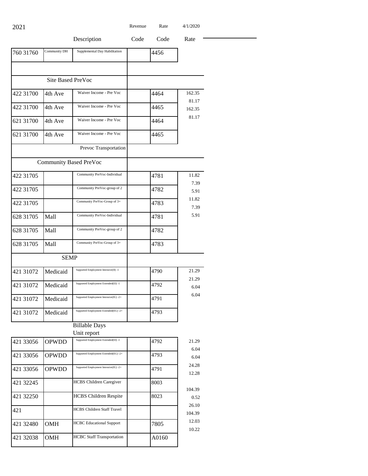| 2021      |                          |                                                     | Revenue | Rate | 4/1/2020        |
|-----------|--------------------------|-----------------------------------------------------|---------|------|-----------------|
|           |                          | Description                                         | Code    | Code | Rate            |
| 760 31760 | Community DH             | Supplemental Day Habilitation                       |         | 4456 |                 |
|           |                          |                                                     |         |      |                 |
|           | <b>Site Based PreVoc</b> |                                                     |         |      |                 |
| 422 31700 | 4th Ave                  | Waiver Income - Pre Voc                             |         | 4464 | 162.35          |
| 422 31700 | 4th Ave                  | Waiver Income - Pre Voc                             |         | 4465 | 81.17<br>162.35 |
| 621 31700 | 4th Ave                  | Waiver Income - Pre Voc                             |         | 4464 | 81.17           |
| 621 31700 | 4th Ave                  | Waiver Income - Pre Voc                             |         | 4465 |                 |
|           |                          | Prevoc Transportation                               |         |      |                 |
|           |                          | <b>Community Based PreVoc</b>                       |         |      |                 |
| 422 31705 |                          | Community PreVoc-Individual                         |         | 4781 | 11.82           |
| 422 31705 |                          | Community PreVoc-group of 2                         |         | 4782 | 7.39<br>5.91    |
| 422 31705 |                          | Community PreVoc-Group of 3+                        |         | 4783 | 11.82<br>7.39   |
| 628 31705 | Mall                     | Community PreVoc-Individual                         |         | 4781 | 5.91            |
| 628 31705 | Mall                     | Community PreVoc-group of 2                         |         | 4782 |                 |
| 628 31705 | Mall                     | Community PreVoc-Group of 3+                        |         | 4783 |                 |
|           | <b>SEMP</b>              |                                                     |         |      |                 |
| 421 31072 | Medicaid                 | Supported Employment Intensive(II) -1               |         | 4790 | 21.29           |
| 421 31072 | Medicaid                 | Supported Employment Extended(EI) -1                |         | 4792 | 21.29<br>6.04   |
| 421 31072 | Medicaid                 | Supported Employment Intensive(IG) -2+              |         | 4791 | 6.04            |
| 421 31072 | Medicaid                 | Supported Employment Extended(EG) -2+               |         | 4793 |                 |
|           |                          | <b>Billable Days</b>                                |         |      |                 |
| 421 33056 | <b>OPWDD</b>             | Unit report<br>Supported Employment Extended(EI) -1 |         | 4792 | 21.29           |
| 421 33056 | OPWDD                    | Supported Employment Extended(EG) -2+               |         | 4793 | 6.04<br>6.04    |
| 421 33056 | OPWDD                    | Supported Employment Intensive(IG) -2+              |         | 4791 | 24.28           |
| 421 32245 |                          | <b>HCBS</b> Children Caregiver                      |         | 8003 | 12.28           |
| 421 32250 |                          | <b>HCBS</b> Children Respite                        |         | 8023 | 104.39<br>0.52  |
| 421       |                          | <b>HCBS Children Staff Travel</b>                   |         |      | 26.10           |
| 421 32480 | OMH                      | <b>HCBC</b> Educational Support                     |         | 7805 | 104.39<br>12.03 |
|           |                          |                                                     |         |      | 10.22           |

421 32038 OMH HCBC Staff Transportation A0160